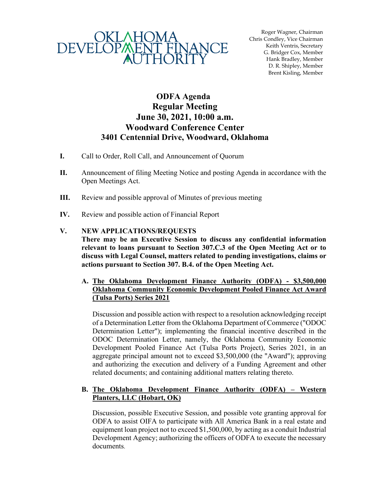

Roger Wagner, Chairman Chris Condley, Vice Chairman Keith Ventris, Secretary G. Bridger Cox, Member Hank Bradley, Member D. R. Shipley, Member Brent Kisling, Member

## **ODFA Agenda Regular Meeting June 30, 2021, 10:00 a.m. Woodward Conference Center 3401 Centennial Drive, Woodward, Oklahoma**

- **I.** Call to Order, Roll Call, and Announcement of Quorum
- **II.** Announcement of filing Meeting Notice and posting Agenda in accordance with the Open Meetings Act.
- **III.** Review and possible approval of Minutes of previous meeting
- **IV.** Review and possible action of Financial Report

## **V. NEW APPLICATIONS/REQUESTS**

**There may be an Executive Session to discuss any confidential information relevant to loans pursuant to Section 307.C.3 of the Open Meeting Act or to discuss with Legal Counsel, matters related to pending investigations, claims or actions pursuant to Section 307. B.4. of the Open Meeting Act.**

**A. The Oklahoma Development Finance Authority (ODFA) - \$3,500,000 Oklahoma Community Economic Development Pooled Finance Act Award (Tulsa Ports) Series 2021**

Discussion and possible action with respect to a resolution acknowledging receipt of a Determination Letter from the Oklahoma Department of Commerce ("ODOC Determination Letter"); implementing the financial incentive described in the ODOC Determination Letter, namely, the Oklahoma Community Economic Development Pooled Finance Act (Tulsa Ports Project), Series 2021, in an aggregate principal amount not to exceed \$3,500,000 (the "Award"); approving and authorizing the execution and delivery of a Funding Agreement and other related documents; and containing additional matters relating thereto.

## **B. The Oklahoma Development Finance Authority (ODFA) – Western Planters, LLC (Hobart, OK)**

Discussion, possible Executive Session, and possible vote granting approval for ODFA to assist OIFA to participate with All America Bank in a real estate and equipment loan project not to exceed \$1,500,000, by acting as a conduit Industrial Development Agency; authorizing the officers of ODFA to execute the necessary documents.